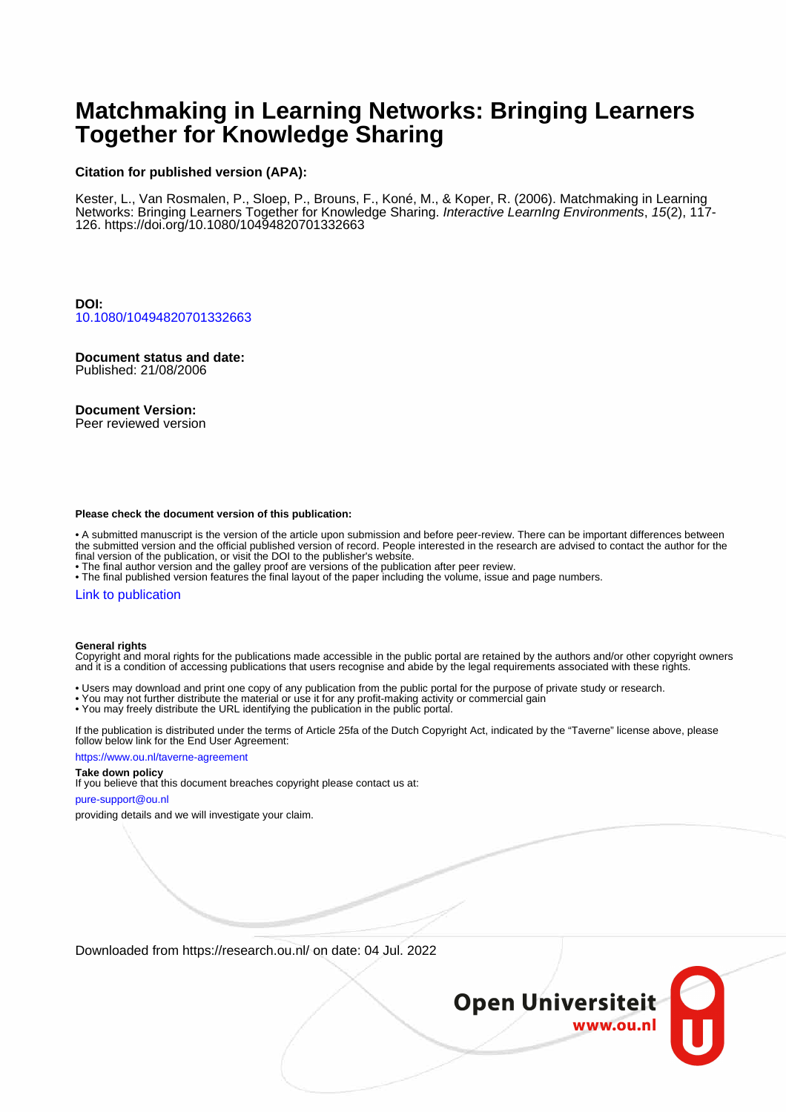# **Matchmaking in Learning Networks: Bringing Learners Together for Knowledge Sharing**

#### **Citation for published version (APA):**

Kester, L., Van Rosmalen, P., Sloep, P., Brouns, F., Koné, M., & Koper, R. (2006). Matchmaking in Learning Networks: Bringing Learners Together for Knowledge Sharing. Interactive Learning Environments, 15(2), 117-126.<https://doi.org/10.1080/10494820701332663>

**DOI:** [10.1080/10494820701332663](https://doi.org/10.1080/10494820701332663)

# **Document status and date:**

Published: 21/08/2006

#### **Document Version:**

Peer reviewed version

#### **Please check the document version of this publication:**

• A submitted manuscript is the version of the article upon submission and before peer-review. There can be important differences between the submitted version and the official published version of record. People interested in the research are advised to contact the author for the final version of the publication, or visit the DOI to the publisher's website.

• The final author version and the galley proof are versions of the publication after peer review.

• The final published version features the final layout of the paper including the volume, issue and page numbers.

#### [Link to publication](https://research.ou.nl/en/publications/dd628e31-b5d1-4cd3-af51-40a115b6a75b)

#### **General rights**

Copyright and moral rights for the publications made accessible in the public portal are retained by the authors and/or other copyright owners and it is a condition of accessing publications that users recognise and abide by the legal requirements associated with these rights.

- Users may download and print one copy of any publication from the public portal for the purpose of private study or research.
- You may not further distribute the material or use it for any profit-making activity or commercial gain
- You may freely distribute the URL identifying the publication in the public portal.

If the publication is distributed under the terms of Article 25fa of the Dutch Copyright Act, indicated by the "Taverne" license above, please follow below link for the End User Agreement:

#### https://www.ou.nl/taverne-agreement

#### **Take down policy**

If you believe that this document breaches copyright please contact us at:

#### pure-support@ou.nl

providing details and we will investigate your claim.

Downloaded from https://research.ou.nl/ on date: 04 Jul. 2022

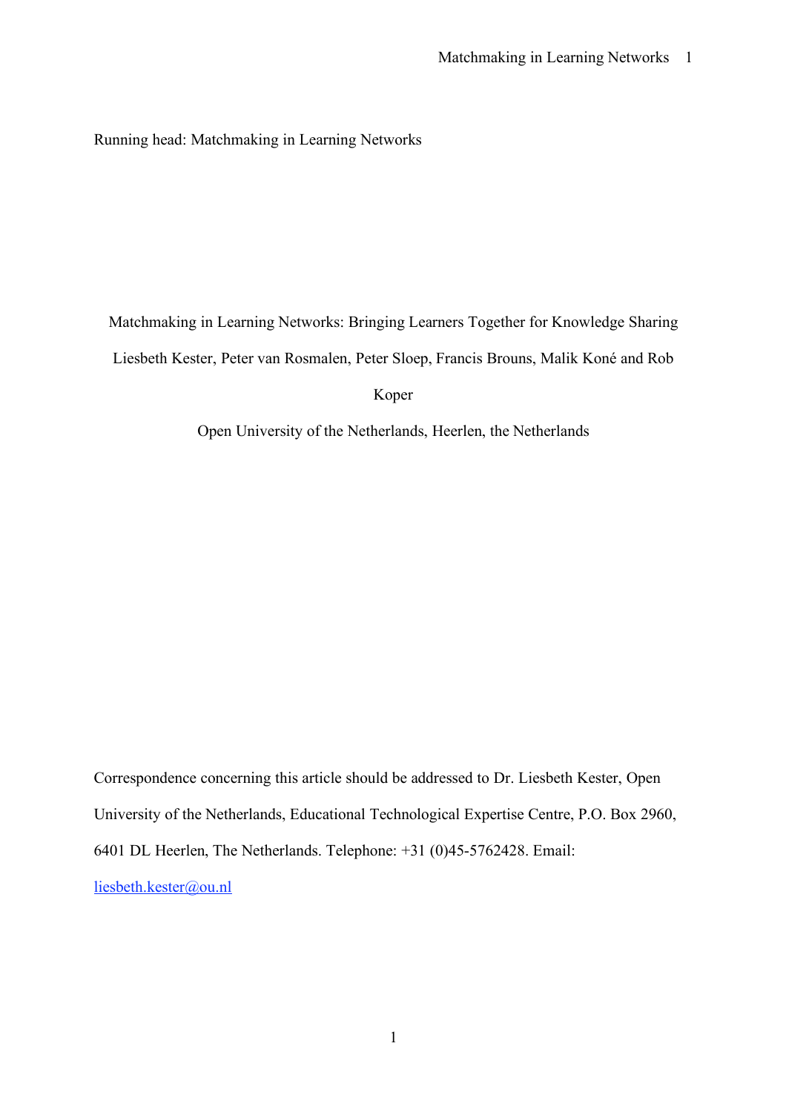Running head: Matchmaking in Learning Networks

Matchmaking in Learning Networks: Bringing Learners Together for Knowledge Sharing Liesbeth Kester, Peter van Rosmalen, Peter Sloep, Francis Brouns, Malik Koné and Rob

Koper

Open University of the Netherlands, Heerlen, the Netherlands

Correspondence concerning this article should be addressed to Dr. Liesbeth Kester, Open University of the Netherlands, Educational Technological Expertise Centre, P.O. Box 2960, 6401 DL Heerlen, The Netherlands. Telephone: +31 (0)45-5762428. Email:

liesbeth.kester@ou.nl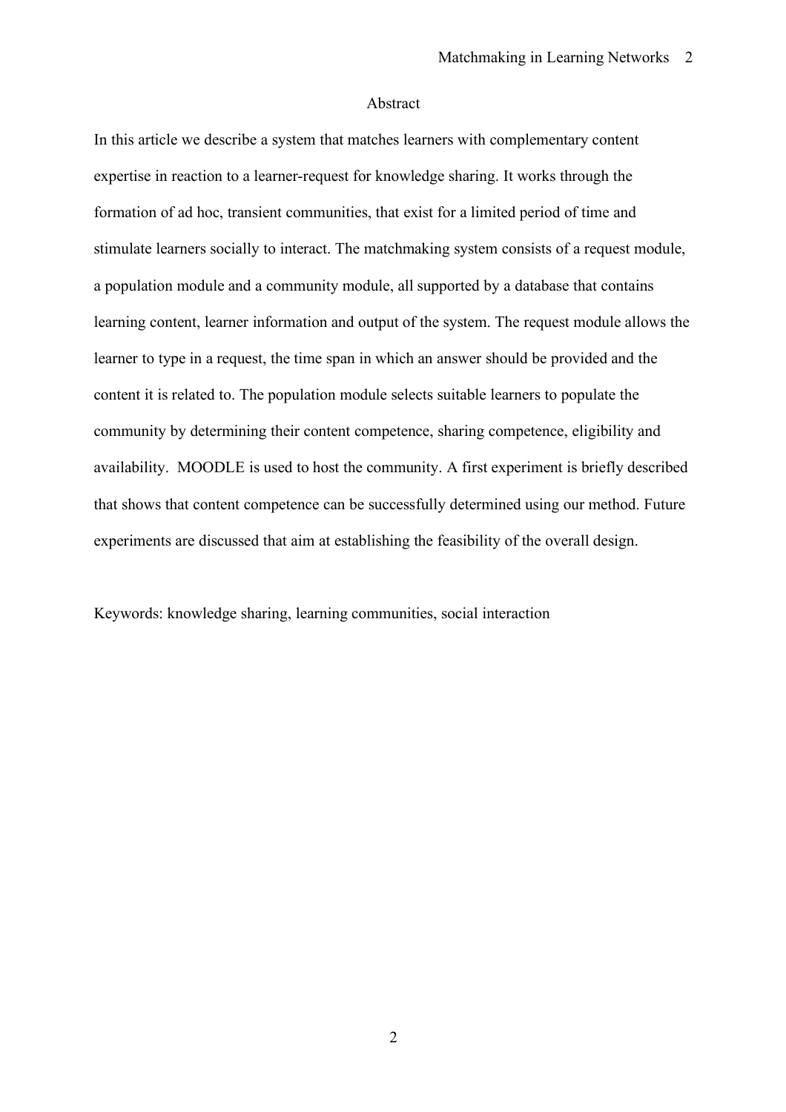#### Abstract

In this article we describe a system that matches learners with complementary content expertise in reaction to a learner-request for knowledge sharing. It works through the formation of ad hoc, transient communities, that exist for a limited period of time and stimulate learners socially to interact. The matchmaking system consists of a request module, a population module and a community module, all supported by a database that contains learning content, learner information and output of the system. The request module allows the learner to type in a request, the time span in which an answer should be provided and the content it is related to. The population module selects suitable learners to populate the community by determining their content competence, sharing competence, eligibility and availability. MOODLE is used to host the community. A first experiment is briefly described that shows that content competence can be successfully determined using our method. Future experiments are discussed that aim at establishing the feasibility of the overall design.

Keywords: knowledge sharing, learning communities, social interaction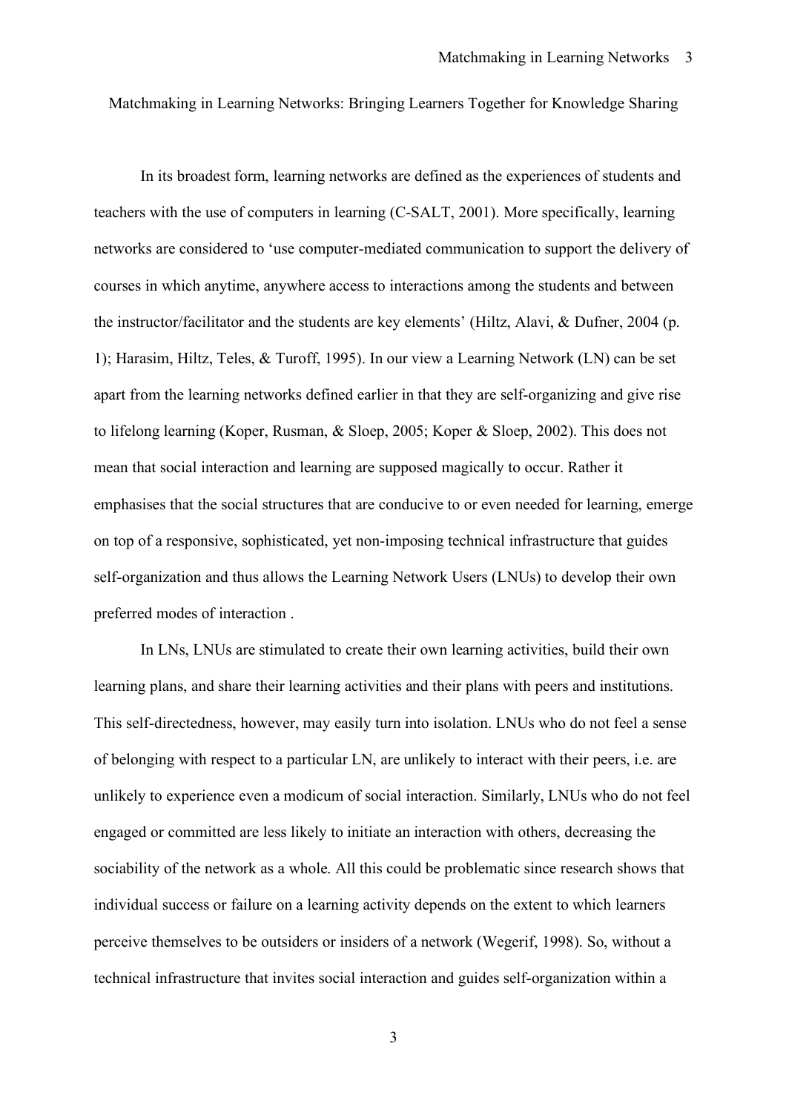Matchmaking in Learning Networks: Bringing Learners Together for Knowledge Sharing

In its broadest form, learning networks are defined as the experiences of students and teachers with the use of computers in learning (C-SALT, 2001). More specifically, learning networks are considered to 'use computer-mediated communication to support the delivery of courses in which anytime, anywhere access to interactions among the students and between the instructor/facilitator and the students are key elements' (Hiltz, Alavi, & Dufner, 2004 (p. 1); Harasim, Hiltz, Teles, & Turoff, 1995). In our view a Learning Network (LN) can be set apart from the learning networks defined earlier in that they are self-organizing and give rise to lifelong learning (Koper, Rusman, & Sloep, 2005; Koper & Sloep, 2002). This does not mean that social interaction and learning are supposed magically to occur. Rather it emphasises that the social structures that are conducive to or even needed for learning, emerge on top of a responsive, sophisticated, yet non-imposing technical infrastructure that guides self-organization and thus allows the Learning Network Users (LNUs) to develop their own preferred modes of interaction .

In LNs, LNUs are stimulated to create their own learning activities, build their own learning plans, and share their learning activities and their plans with peers and institutions. This self-directedness, however, may easily turn into isolation. LNUs who do not feel a sense of belonging with respect to a particular LN, are unlikely to interact with their peers, i.e. are unlikely to experience even a modicum of social interaction. Similarly, LNUs who do not feel engaged or committed are less likely to initiate an interaction with others, decreasing the sociability of the network as a whole. All this could be problematic since research shows that individual success or failure on a learning activity depends on the extent to which learners perceive themselves to be outsiders or insiders of a network (Wegerif, 1998). So, without a technical infrastructure that invites social interaction and guides self-organization within a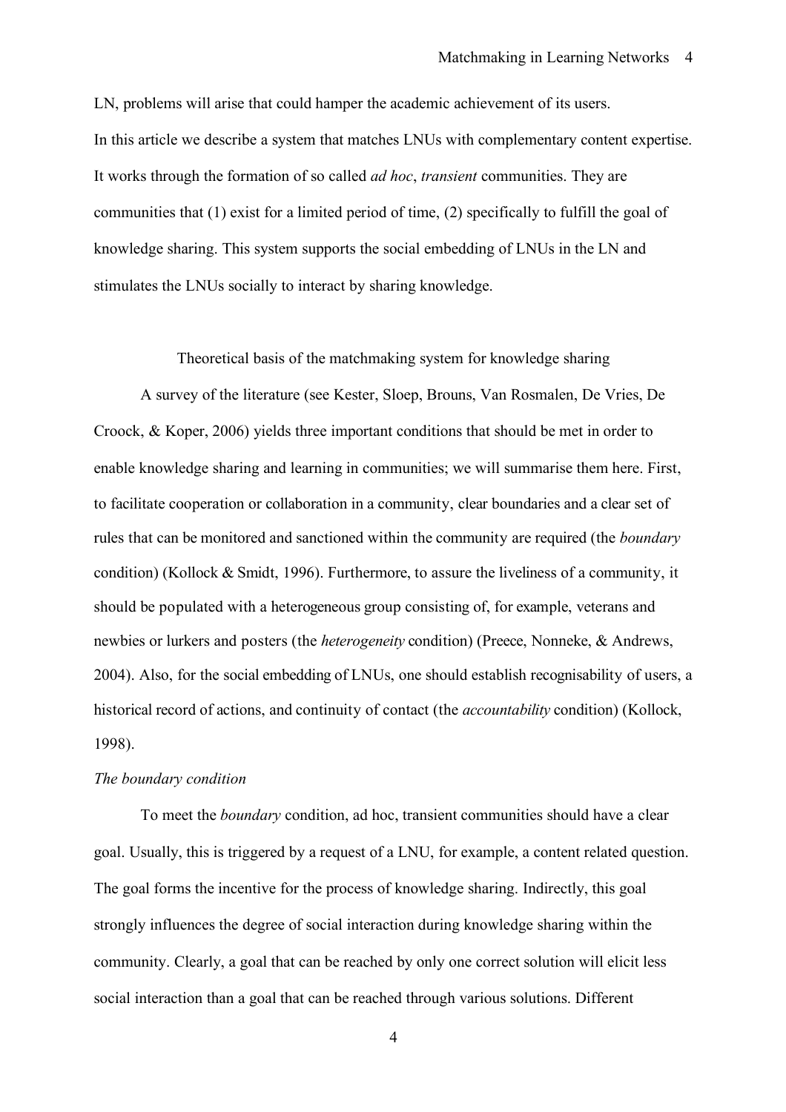LN, problems will arise that could hamper the academic achievement of its users. In this article we describe a system that matches LNUs with complementary content expertise. It works through the formation of so called *ad hoc*, *transient* communities. They are communities that (1) exist for a limited period of time, (2) specifically to fulfill the goal of knowledge sharing. This system supports the social embedding of LNUs in the LN and stimulates the LNUs socially to interact by sharing knowledge.

Theoretical basis of the matchmaking system for knowledge sharing

A survey of the literature (see Kester, Sloep, Brouns, Van Rosmalen, De Vries, De Croock, & Koper, 2006) yields three important conditions that should be met in order to enable knowledge sharing and learning in communities; we will summarise them here. First, to facilitate cooperation or collaboration in a community, clear boundaries and a clear set of rules that can be monitored and sanctioned within the community are required (the *boundary* condition) (Kollock & Smidt, 1996). Furthermore, to assure the liveliness of a community, it should be populated with a heterogeneous group consisting of, for example, veterans and newbies or lurkers and posters (the *heterogeneity* condition) (Preece, Nonneke, & Andrews, 2004). Also, for the social embedding of LNUs, one should establish recognisability of users, a historical record of actions, and continuity of contact (the *accountability* condition) (Kollock, 1998).

### *The boundary condition*

To meet the *boundary* condition, ad hoc, transient communities should have a clear goal. Usually, this is triggered by a request of a LNU, for example, a content related question. The goal forms the incentive for the process of knowledge sharing. Indirectly, this goal strongly influences the degree of social interaction during knowledge sharing within the community. Clearly, a goal that can be reached by only one correct solution will elicit less social interaction than a goal that can be reached through various solutions. Different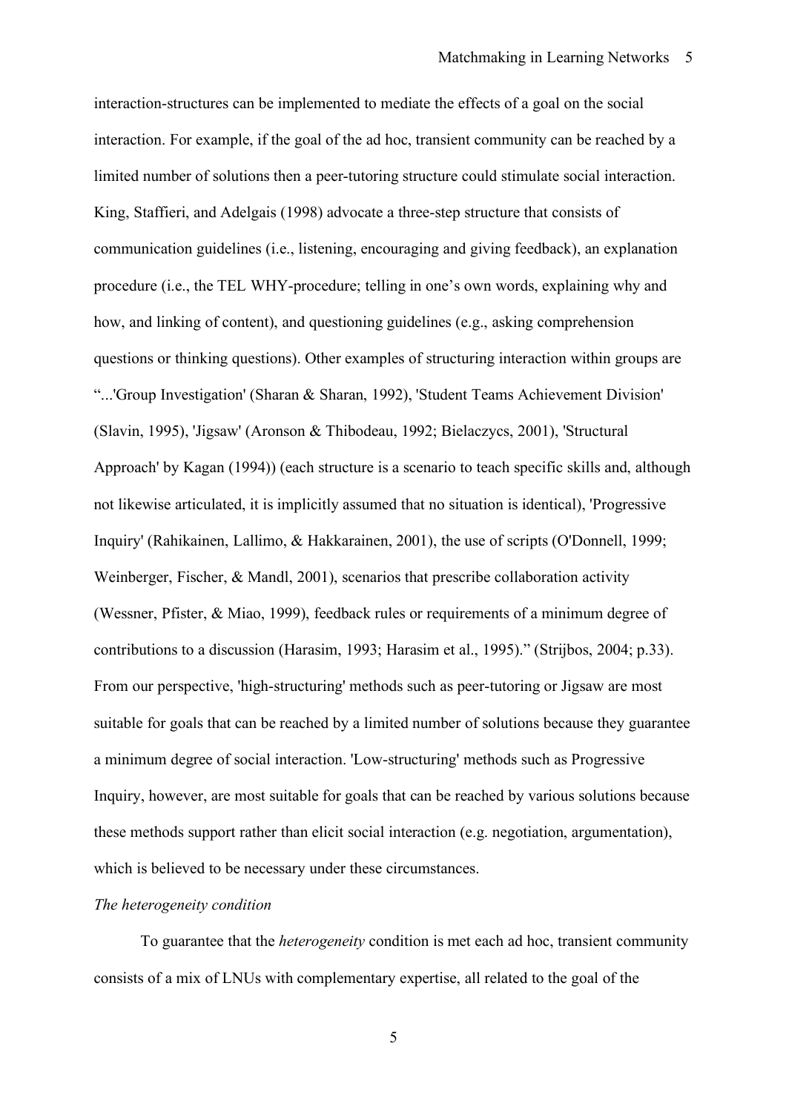interaction-structures can be implemented to mediate the effects of a goal on the social interaction. For example, if the goal of the ad hoc, transient community can be reached by a limited number of solutions then a peer-tutoring structure could stimulate social interaction. King, Staffieri, and Adelgais (1998) advocate a three-step structure that consists of communication guidelines (i.e., listening, encouraging and giving feedback), an explanation procedure (i.e., the TEL WHY-procedure; telling in one's own words, explaining why and how, and linking of content), and questioning guidelines (e.g., asking comprehension questions or thinking questions). Other examples of structuring interaction within groups are "...'Group Investigation' (Sharan & Sharan, 1992), 'Student Teams Achievement Division' (Slavin, 1995), 'Jigsaw' (Aronson & Thibodeau, 1992; Bielaczycs, 2001), 'Structural Approach' by Kagan (1994)) (each structure is a scenario to teach specific skills and, although not likewise articulated, it is implicitly assumed that no situation is identical), 'Progressive Inquiry' (Rahikainen, Lallimo, & Hakkarainen, 2001), the use of scripts (O'Donnell, 1999; Weinberger, Fischer, & Mandl, 2001), scenarios that prescribe collaboration activity (Wessner, Pfister, & Miao, 1999), feedback rules or requirements of a minimum degree of contributions to a discussion (Harasim, 1993; Harasim et al., 1995)." (Strijbos, 2004; p.33). From our perspective, 'high-structuring' methods such as peer-tutoring or Jigsaw are most suitable for goals that can be reached by a limited number of solutions because they guarantee a minimum degree of social interaction. 'Low-structuring' methods such as Progressive Inquiry, however, are most suitable for goals that can be reached by various solutions because these methods support rather than elicit social interaction (e.g. negotiation, argumentation), which is believed to be necessary under these circumstances.

### *The heterogeneity condition*

To guarantee that the *heterogeneity* condition is met each ad hoc, transient community consists of a mix of LNUs with complementary expertise, all related to the goal of the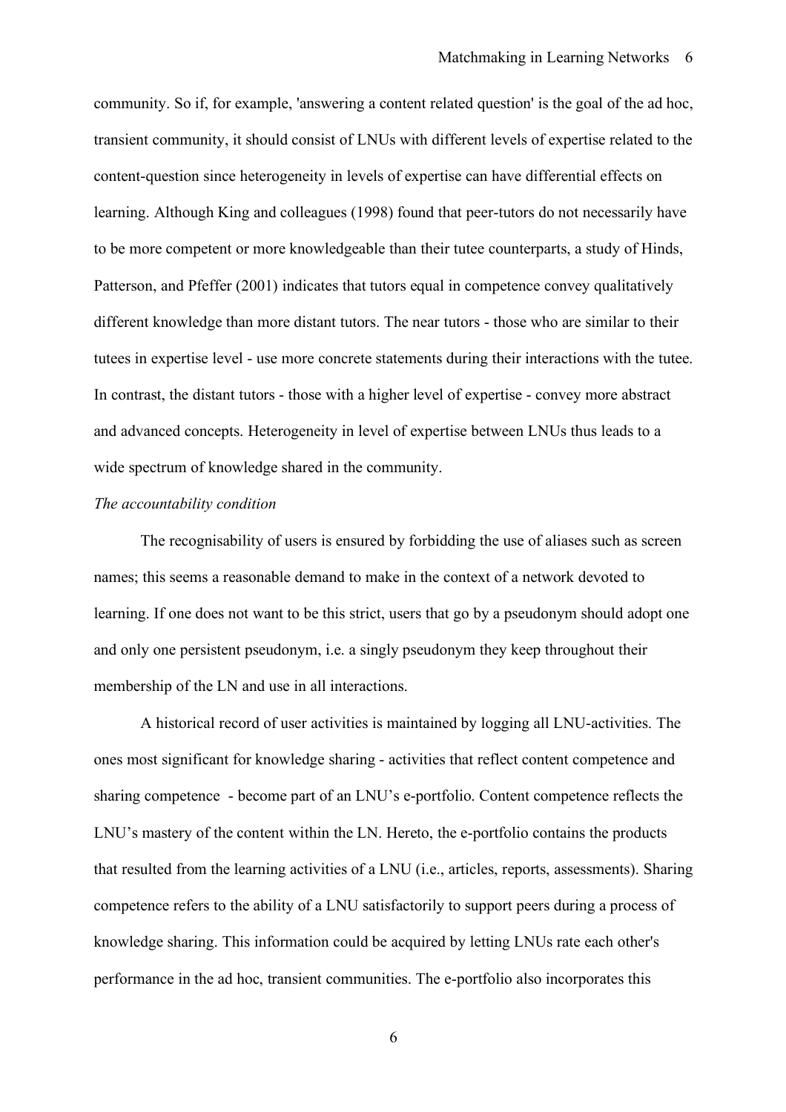community. So if, for example, 'answering a content related question' is the goal of the ad hoc, transient community, it should consist of LNUs with different levels of expertise related to the content-question since heterogeneity in levels of expertise can have differential effects on learning. Although King and colleagues (1998) found that peer-tutors do not necessarily have to be more competent or more knowledgeable than their tutee counterparts, a study of Hinds, Patterson, and Pfeffer (2001) indicates that tutors equal in competence convey qualitatively different knowledge than more distant tutors. The near tutors - those who are similar to their tutees in expertise level - use more concrete statements during their interactions with the tutee. In contrast, the distant tutors - those with a higher level of expertise - convey more abstract and advanced concepts. Heterogeneity in level of expertise between LNUs thus leads to a wide spectrum of knowledge shared in the community.

### *The accountability condition*

The recognisability of users is ensured by forbidding the use of aliases such as screen names; this seems a reasonable demand to make in the context of a network devoted to learning. If one does not want to be this strict, users that go by a pseudonym should adopt one and only one persistent pseudonym, i.e. a singly pseudonym they keep throughout their membership of the LN and use in all interactions.

A historical record of user activities is maintained by logging all LNU-activities. The ones most significant for knowledge sharing - activities that reflect content competence and sharing competence - become part of an LNU's e-portfolio. Content competence reflects the LNU's mastery of the content within the LN. Hereto, the e-portfolio contains the products that resulted from the learning activities of a LNU (i.e., articles, reports, assessments). Sharing competence refers to the ability of a LNU satisfactorily to support peers during a process of knowledge sharing. This information could be acquired by letting LNUs rate each other's performance in the ad hoc, transient communities. The e-portfolio also incorporates this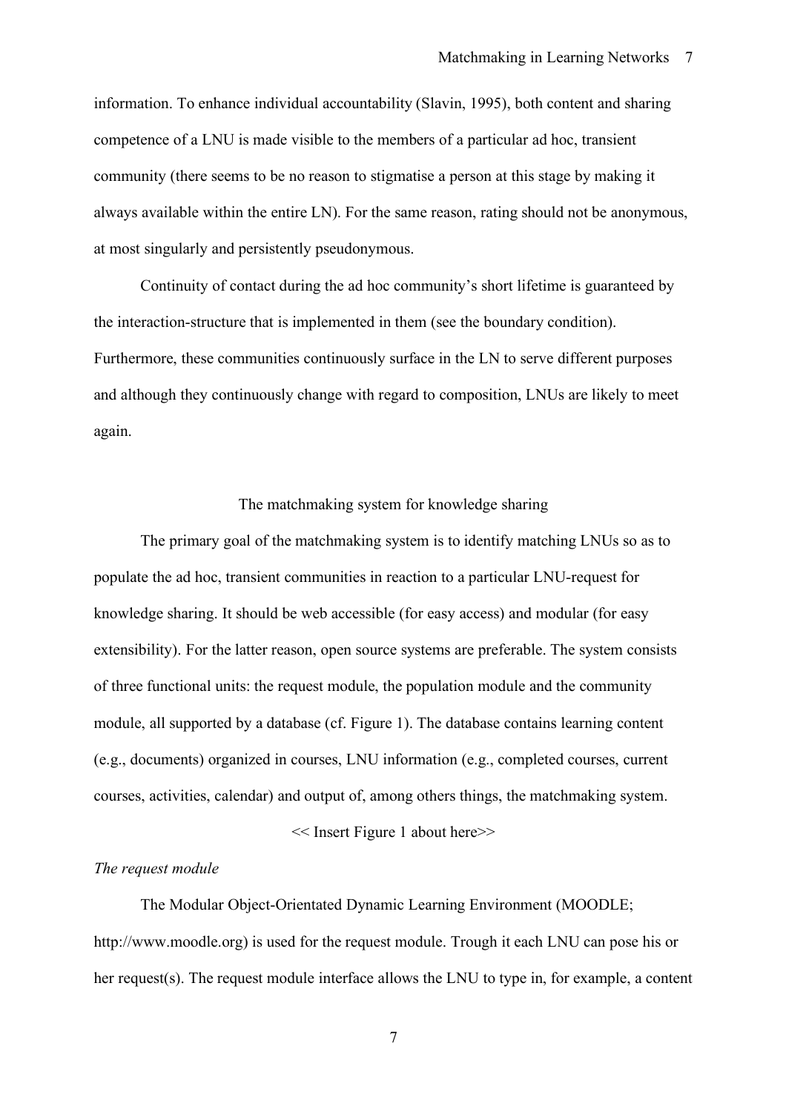information. To enhance individual accountability (Slavin, 1995), both content and sharing competence of a LNU is made visible to the members of a particular ad hoc, transient community (there seems to be no reason to stigmatise a person at this stage by making it always available within the entire LN). For the same reason, rating should not be anonymous, at most singularly and persistently pseudonymous.

Continuity of contact during the ad hoc community's short lifetime is guaranteed by the interaction-structure that is implemented in them (see the boundary condition). Furthermore, these communities continuously surface in the LN to serve different purposes and although they continuously change with regard to composition, LNUs are likely to meet again.

### The matchmaking system for knowledge sharing

The primary goal of the matchmaking system is to identify matching LNUs so as to populate the ad hoc, transient communities in reaction to a particular LNU-request for knowledge sharing. It should be web accessible (for easy access) and modular (for easy extensibility). For the latter reason, open source systems are preferable. The system consists of three functional units: the request module, the population module and the community module, all supported by a database (cf. Figure 1). The database contains learning content (e.g., documents) organized in courses, LNU information (e.g., completed courses, current courses, activities, calendar) and output of, among others things, the matchmaking system.

### << Insert Figure 1 about here>>

### *The request module*

The Modular Object-Orientated Dynamic Learning Environment (MOODLE; http://www.moodle.org) is used for the request module. Trough it each LNU can pose his or her request(s). The request module interface allows the LNU to type in, for example, a content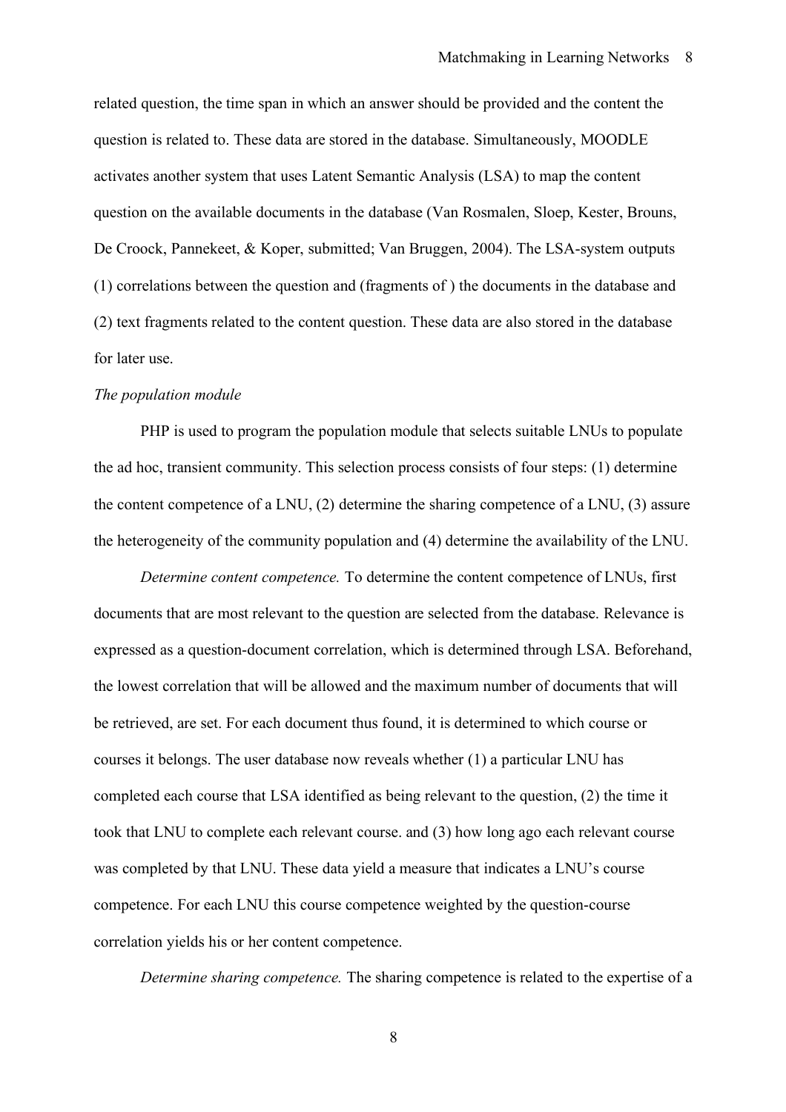related question, the time span in which an answer should be provided and the content the question is related to. These data are stored in the database. Simultaneously, MOODLE activates another system that uses Latent Semantic Analysis (LSA) to map the content question on the available documents in the database (Van Rosmalen, Sloep, Kester, Brouns, De Croock, Pannekeet, & Koper, submitted; Van Bruggen, 2004). The LSA-system outputs (1) correlations between the question and (fragments of ) the documents in the database and (2) text fragments related to the content question. These data are also stored in the database for later use.

### *The population module*

PHP is used to program the population module that selects suitable LNUs to populate the ad hoc, transient community. This selection process consists of four steps: (1) determine the content competence of a LNU, (2) determine the sharing competence of a LNU, (3) assure the heterogeneity of the community population and (4) determine the availability of the LNU.

*Determine content competence.* To determine the content competence of LNUs, first documents that are most relevant to the question are selected from the database. Relevance is expressed as a question-document correlation, which is determined through LSA. Beforehand, the lowest correlation that will be allowed and the maximum number of documents that will be retrieved, are set. For each document thus found, it is determined to which course or courses it belongs. The user database now reveals whether (1) a particular LNU has completed each course that LSA identified as being relevant to the question, (2) the time it took that LNU to complete each relevant course. and (3) how long ago each relevant course was completed by that LNU. These data yield a measure that indicates a LNU's course competence. For each LNU this course competence weighted by the question-course correlation yields his or her content competence.

*Determine sharing competence.* The sharing competence is related to the expertise of a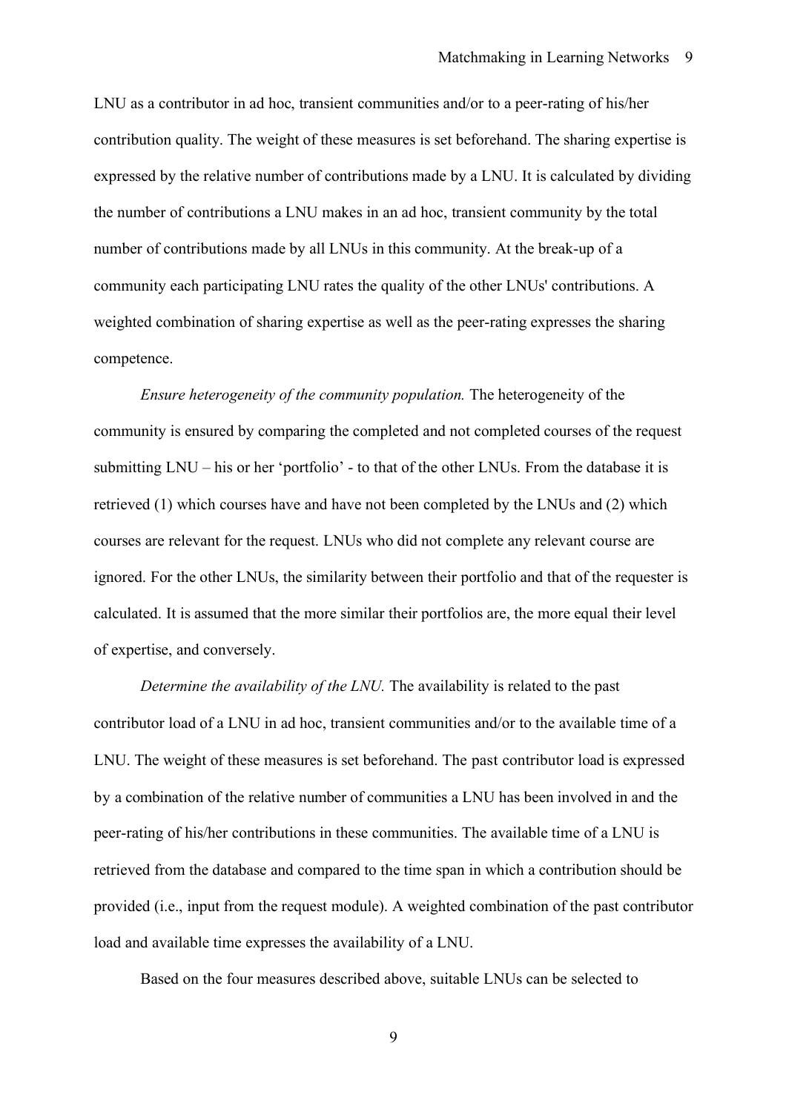LNU as a contributor in ad hoc, transient communities and/or to a peer-rating of his/her contribution quality. The weight of these measures is set beforehand. The sharing expertise is expressed by the relative number of contributions made by a LNU. It is calculated by dividing the number of contributions a LNU makes in an ad hoc, transient community by the total number of contributions made by all LNUs in this community. At the break-up of a community each participating LNU rates the quality of the other LNUs' contributions. A weighted combination of sharing expertise as well as the peer-rating expresses the sharing competence.

*Ensure heterogeneity of the community population.* The heterogeneity of the community is ensured by comparing the completed and not completed courses of the request submitting LNU – his or her 'portfolio' - to that of the other LNUs. From the database it is retrieved (1) which courses have and have not been completed by the LNUs and (2) which courses are relevant for the request. LNUs who did not complete any relevant course are ignored. For the other LNUs, the similarity between their portfolio and that of the requester is calculated. It is assumed that the more similar their portfolios are, the more equal their level of expertise, and conversely.

*Determine the availability of the LNU.* The availability is related to the past contributor load of a LNU in ad hoc, transient communities and/or to the available time of a LNU. The weight of these measures is set beforehand. The past contributor load is expressed by a combination of the relative number of communities a LNU has been involved in and the peer-rating of his/her contributions in these communities. The available time of a LNU is retrieved from the database and compared to the time span in which a contribution should be provided (i.e., input from the request module). A weighted combination of the past contributor load and available time expresses the availability of a LNU.

Based on the four measures described above, suitable LNUs can be selected to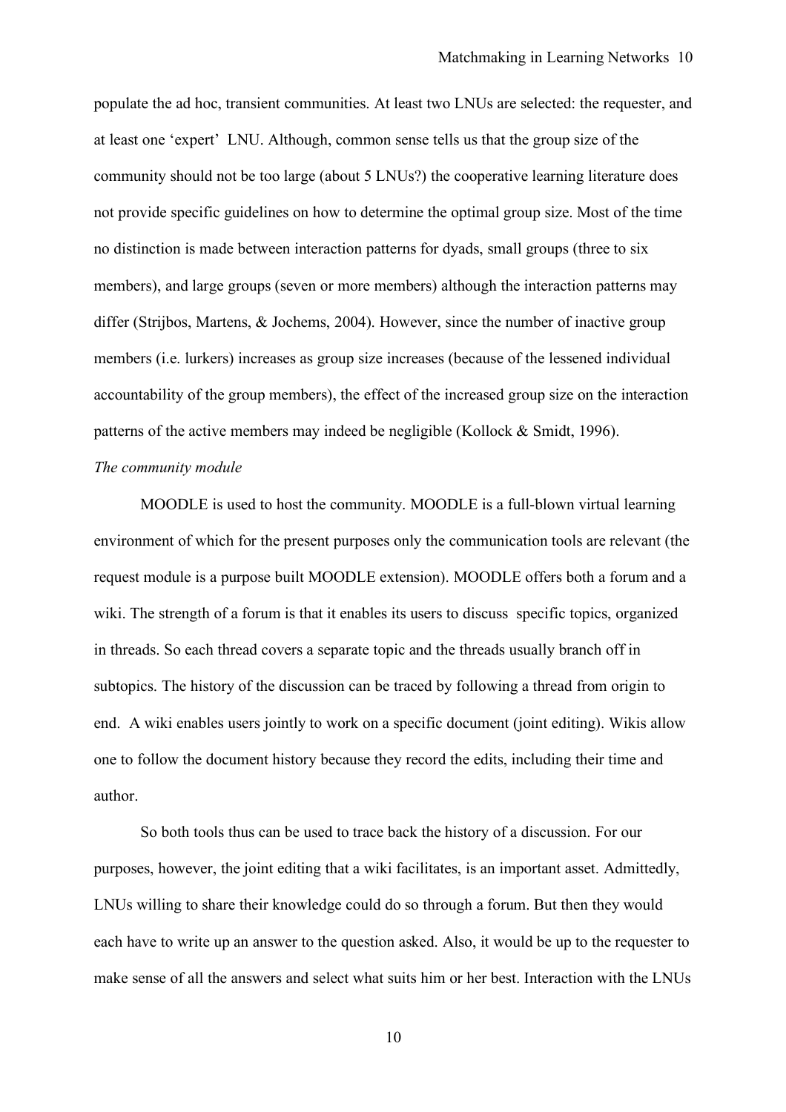populate the ad hoc, transient communities. At least two LNUs are selected: the requester, and at least one 'expert' LNU. Although, common sense tells us that the group size of the community should not be too large (about 5 LNUs?) the cooperative learning literature does not provide specific guidelines on how to determine the optimal group size. Most of the time no distinction is made between interaction patterns for dyads, small groups (three to six members), and large groups (seven or more members) although the interaction patterns may differ (Strijbos, Martens, & Jochems, 2004). However, since the number of inactive group members (i.e. lurkers) increases as group size increases (because of the lessened individual accountability of the group members), the effect of the increased group size on the interaction patterns of the active members may indeed be negligible (Kollock & Smidt, 1996). *The community module*

MOODLE is used to host the community. MOODLE is a full-blown virtual learning environment of which for the present purposes only the communication tools are relevant (the request module is a purpose built MOODLE extension). MOODLE offers both a forum and a wiki. The strength of a forum is that it enables its users to discuss specific topics, organized in threads. So each thread covers a separate topic and the threads usually branch off in subtopics. The history of the discussion can be traced by following a thread from origin to end. A wiki enables users jointly to work on a specific document (joint editing). Wikis allow one to follow the document history because they record the edits, including their time and author.

So both tools thus can be used to trace back the history of a discussion. For our purposes, however, the joint editing that a wiki facilitates, is an important asset. Admittedly, LNUs willing to share their knowledge could do so through a forum. But then they would each have to write up an answer to the question asked. Also, it would be up to the requester to make sense of all the answers and select what suits him or her best. Interaction with the LNUs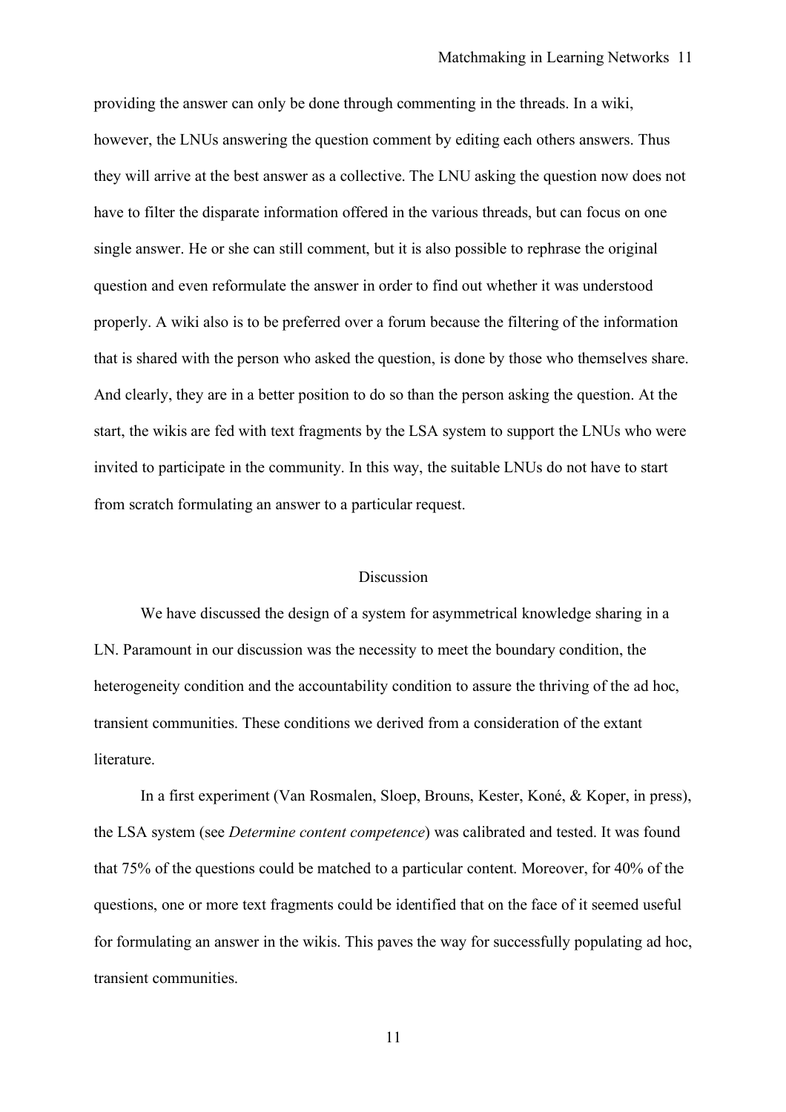providing the answer can only be done through commenting in the threads. In a wiki, however, the LNUs answering the question comment by editing each others answers. Thus they will arrive at the best answer as a collective. The LNU asking the question now does not have to filter the disparate information offered in the various threads, but can focus on one single answer. He or she can still comment, but it is also possible to rephrase the original question and even reformulate the answer in order to find out whether it was understood properly. A wiki also is to be preferred over a forum because the filtering of the information that is shared with the person who asked the question, is done by those who themselves share. And clearly, they are in a better position to do so than the person asking the question. At the start, the wikis are fed with text fragments by the LSA system to support the LNUs who were invited to participate in the community. In this way, the suitable LNUs do not have to start from scratch formulating an answer to a particular request.

#### **Discussion**

We have discussed the design of a system for asymmetrical knowledge sharing in a LN. Paramount in our discussion was the necessity to meet the boundary condition, the heterogeneity condition and the accountability condition to assure the thriving of the ad hoc, transient communities. These conditions we derived from a consideration of the extant literature.

In a first experiment (Van Rosmalen, Sloep, Brouns, Kester, Koné, & Koper, in press), the LSA system (see *Determine content competence*) was calibrated and tested. It was found that 75% of the questions could be matched to a particular content. Moreover, for 40% of the questions, one or more text fragments could be identified that on the face of it seemed useful for formulating an answer in the wikis. This paves the way for successfully populating ad hoc, transient communities.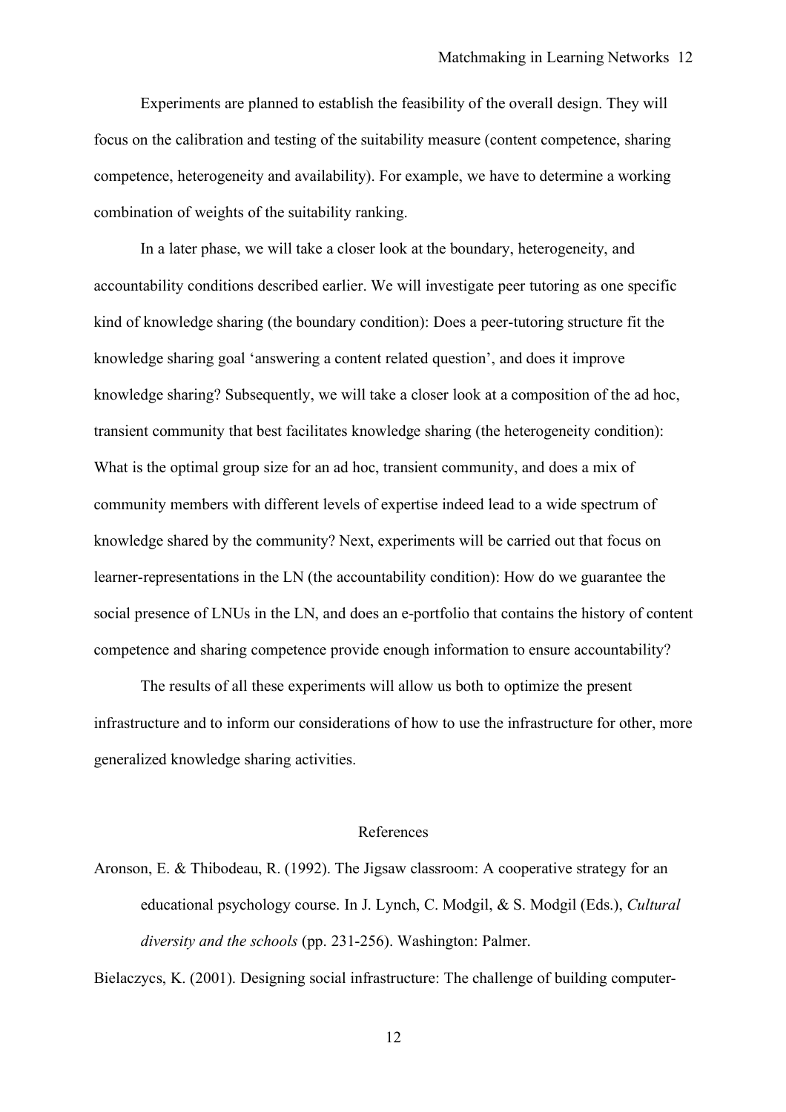Experiments are planned to establish the feasibility of the overall design. They will focus on the calibration and testing of the suitability measure (content competence, sharing competence, heterogeneity and availability). For example, we have to determine a working combination of weights of the suitability ranking.

In a later phase, we will take a closer look at the boundary, heterogeneity, and accountability conditions described earlier. We will investigate peer tutoring as one specific kind of knowledge sharing (the boundary condition): Does a peer-tutoring structure fit the knowledge sharing goal 'answering a content related question', and does it improve knowledge sharing? Subsequently, we will take a closer look at a composition of the ad hoc, transient community that best facilitates knowledge sharing (the heterogeneity condition): What is the optimal group size for an ad hoc, transient community, and does a mix of community members with different levels of expertise indeed lead to a wide spectrum of knowledge shared by the community? Next, experiments will be carried out that focus on learner-representations in the LN (the accountability condition): How do we guarantee the social presence of LNUs in the LN, and does an e-portfolio that contains the history of content competence and sharing competence provide enough information to ensure accountability?

The results of all these experiments will allow us both to optimize the present infrastructure and to inform our considerations of how to use the infrastructure for other, more generalized knowledge sharing activities.

### References

Aronson, E. & Thibodeau, R. (1992). The Jigsaw classroom: A cooperative strategy for an educational psychology course. In J. Lynch, C. Modgil, & S. Modgil (Eds.), *Cultural diversity and the schools* (pp. 231-256). Washington: Palmer.

Bielaczycs, K. (2001). Designing social infrastructure: The challenge of building computer-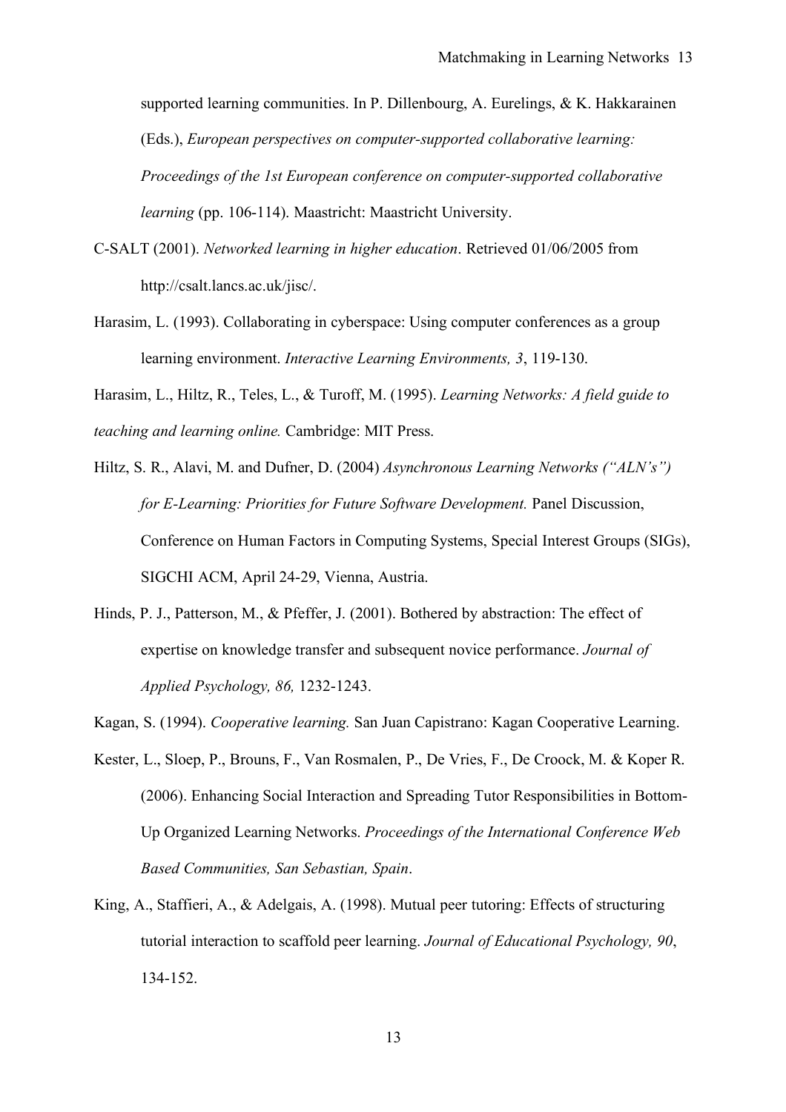supported learning communities. In P. Dillenbourg, A. Eurelings, & K. Hakkarainen (Eds.), *European perspectives on computer-supported collaborative learning: Proceedings of the 1st European conference on computer-supported collaborative learning* (pp. 106-114). Maastricht: Maastricht University.

- C-SALT (2001). *Networked learning in higher education*. Retrieved 01/06/2005 from http://csalt.lancs.ac.uk/jisc/.
- Harasim, L. (1993). Collaborating in cyberspace: Using computer conferences as a group learning environment. *Interactive Learning Environments, 3*, 119-130.

Harasim, L., Hiltz, R., Teles, L., & Turoff, M. (1995). *Learning Networks: A field guide to teaching and learning online.* Cambridge: MIT Press.

Hiltz, S. R., Alavi, M. and Dufner, D. (2004) *Asynchronous Learning Networks ("ALN's") for E-Learning: Priorities for Future Software Development.* Panel Discussion, Conference on Human Factors in Computing Systems, Special Interest Groups (SIGs), SIGCHI ACM, April 24-29, Vienna, Austria.

Hinds, P. J., Patterson, M., & Pfeffer, J. (2001). Bothered by abstraction: The effect of expertise on knowledge transfer and subsequent novice performance. *Journal of Applied Psychology, 86,* 1232-1243.

Kagan, S. (1994). *Cooperative learning.* San Juan Capistrano: Kagan Cooperative Learning.

- Kester, L., Sloep, P., Brouns, F., Van Rosmalen, P., De Vries, F., De Croock, M. & Koper R. (2006). Enhancing Social Interaction and Spreading Tutor Responsibilities in Bottom-Up Organized Learning Networks. *Proceedings of the International Conference Web Based Communities, San Sebastian, Spain*.
- King, A., Staffieri, A., & Adelgais, A. (1998). Mutual peer tutoring: Effects of structuring tutorial interaction to scaffold peer learning. *Journal of Educational Psychology, 90*, 134-152.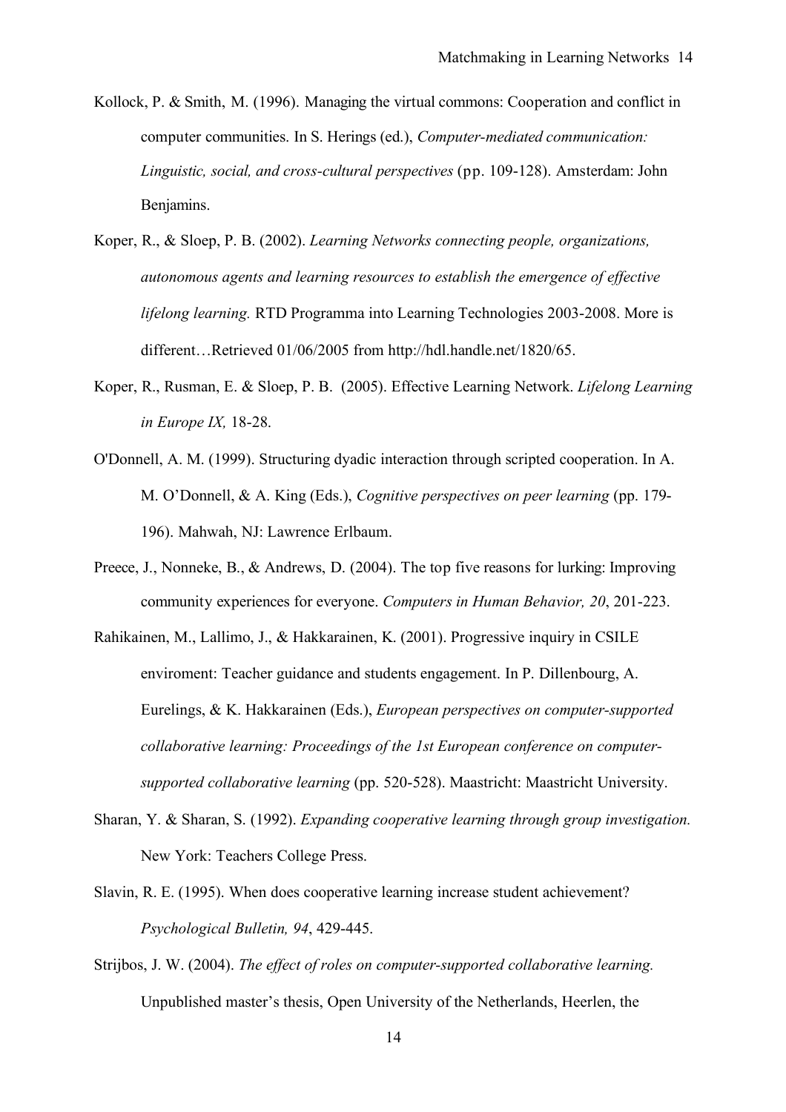- Kollock, P. & Smith, M. (1996). Managing the virtual commons: Cooperation and conflict in computer communities. In S. Herings (ed.), *Computer-mediated communication: Linguistic, social, and cross-cultural perspectives* (pp. 109-128). Amsterdam: John Benjamins.
- Koper, R., & Sloep, P. B. (2002). *Learning Networks connecting people, organizations, autonomous agents and learning resources to establish the emergence of effective lifelong learning.* RTD Programma into Learning Technologies 2003-2008. More is different…Retrieved 01/06/2005 from http://hdl.handle.net/1820/65.
- Koper, R., Rusman, E. & Sloep, P. B. (2005). Effective Learning Network. *Lifelong Learning in Europe IX,* 18-28.
- O'Donnell, A. M. (1999). Structuring dyadic interaction through scripted cooperation. In A. M. O'Donnell, & A. King (Eds.), *Cognitive perspectives on peer learning* (pp. 179- 196). Mahwah, NJ: Lawrence Erlbaum.
- Preece, J., Nonneke, B., & Andrews, D. (2004). The top five reasons for lurking: Improving community experiences for everyone. *Computers in Human Behavior, 20*, 201-223.
- Rahikainen, M., Lallimo, J., & Hakkarainen, K. (2001). Progressive inquiry in CSILE enviroment: Teacher guidance and students engagement. In P. Dillenbourg, A. Eurelings, & K. Hakkarainen (Eds.), *European perspectives on computer-supported collaborative learning: Proceedings of the 1st European conference on computersupported collaborative learning* (pp. 520-528). Maastricht: Maastricht University.
- Sharan, Y. & Sharan, S. (1992). *Expanding cooperative learning through group investigation.* New York: Teachers College Press.
- Slavin, R. E. (1995). When does cooperative learning increase student achievement? *Psychological Bulletin, 94*, 429-445.
- Strijbos, J. W. (2004). *The effect of roles on computer-supported collaborative learning.* Unpublished master's thesis, Open University of the Netherlands, Heerlen, the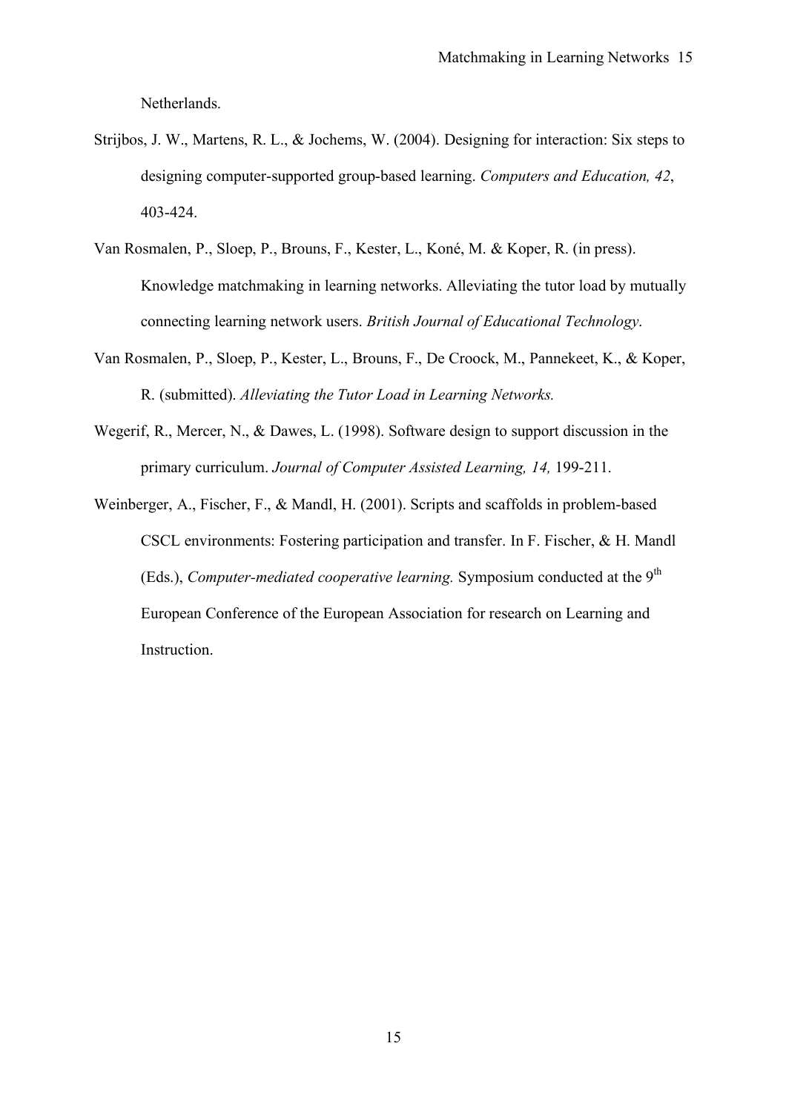Netherlands.

- Strijbos, J. W., Martens, R. L., & Jochems, W. (2004). Designing for interaction: Six steps to designing computer-supported group-based learning. *Computers and Education, 42*, 403-424.
- Van Rosmalen, P., Sloep, P., Brouns, F., Kester, L., Koné, M. & Koper, R. (in press). Knowledge matchmaking in learning networks. Alleviating the tutor load by mutually connecting learning network users. *British Journal of Educational Technology*.
- Van Rosmalen, P., Sloep, P., Kester, L., Brouns, F., De Croock, M., Pannekeet, K., & Koper, R. (submitted). *Alleviating the Tutor Load in Learning Networks.*
- Wegerif, R., Mercer, N., & Dawes, L. (1998). Software design to support discussion in the primary curriculum. *Journal of Computer Assisted Learning, 14,* 199-211.
- Weinberger, A., Fischer, F., & Mandl, H. (2001). Scripts and scaffolds in problem-based CSCL environments: Fostering participation and transfer. In F. Fischer, & H. Mandl (Eds.), *Computer-mediated cooperative learning*. Symposium conducted at the 9<sup>th</sup> European Conference of the European Association for research on Learning and Instruction.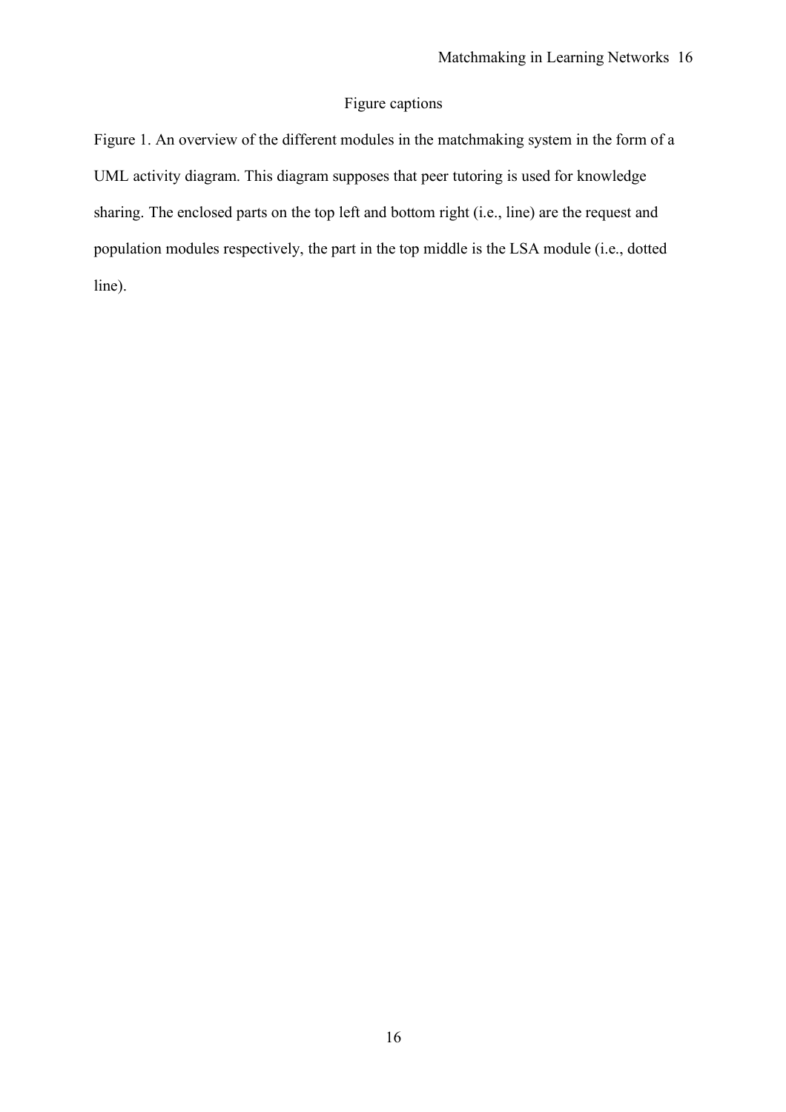## Figure captions

Figure 1. An overview of the different modules in the matchmaking system in the form of a UML activity diagram. This diagram supposes that peer tutoring is used for knowledge sharing. The enclosed parts on the top left and bottom right (i.e., line) are the request and population modules respectively, the part in the top middle is the LSA module (i.e., dotted line).